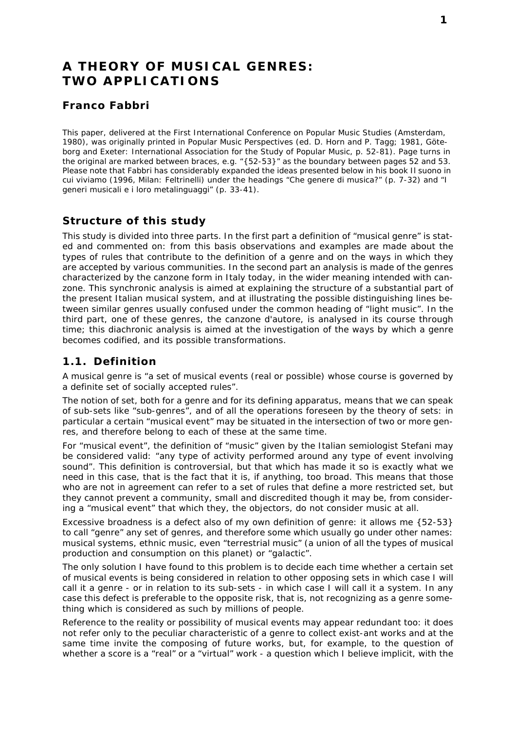# **A THEORY OF MUSICAL GENRES: TWO APPLICATIONS**

## **Franco Fabbri**

*This paper, delivered at the First International Conference on Popular Music Studies (Amsterdam, 1980), was originally printed in* Popular Music Perspectives *(ed. D. Horn and P. Tagg; 1981, Göteborg and Exeter: International Association for the Study of Popular Music, p. 52-81). Page turns in the original are marked between braces, e.g. "{52-53}" as the boundary between pages 52 and 53. Please note that Fabbri has considerably expanded the ideas presented below in his book* Il suono in cui viviamo *(1996, Milan: Feltrinelli) under the headings "Che genere di musica?" (p. 7-32) and "I generi musicali e i loro metalinguaggi" (p. 33-41).*

## **Structure of this study**

This study is divided into three parts. In the first part a definition of "musical genre" is stated and commented on: from this basis observations and examples are made about the types of rules that contribute to the definition of a genre and on the ways in which they are accepted by various communities. In the second part an analysis is made of the genres characterized by the *canzone* form in Italy today, in the wider meaning intended with *canzone.* This synchronic analysis is aimed at explaining the structure of a substantial part of the present Italian musical system, and at illustrating the possible distinguishing lines between similar genres usually confused under the common heading of "light music". In the third part, one of these genres, the *canzone d'autore,* is analysed in its course through time; this diachronic analysis is aimed at the investigation of the ways by which a genre becomes codified, and its possible transformations.

## **1.1. Definition**

A musical genre is "a set of musical events (real or possible) whose course is governed by a definite set of socially accepted rules".

The notion of set, both for a genre and for its defining apparatus, means that we can speak of sub-sets like "sub-genres", and of all the operations foreseen by the theory of sets: in particular a certain "musical event" may be situated in the intersection of two or more genres, and therefore belong to each of these at the same time.

For "musical event", the definition of "music" given by the Italian semiologist Stefani may be considered valid: "any type of activity performed around any type of event involving sound". This definition is controversial, but that which has made it so is exactly what we need in this case, that is the fact that it is, if anything, too broad. This means that those who are not in agreement can refer to a set of rules that define a more restricted set, but they cannot prevent a community, small and discredited though it may be, from considering a "musical event" that which they, the objectors, do not consider music at all.

Excessive broadness is a defect also of my own definition of genre: it allows me {52-53} to call "genre" any set of genres, and therefore some which usually go under other names: musical systems, ethnic music, even "terrestrial music" (a union of all the types of musical production and consumption on this planet) or "galactic".

The only solution I have found to this problem is to decide each time whether a certain set of musical events is being considered in relation to other opposing sets in which case I will call it a genre - or in relation to its sub-sets - in which case I will call it a system. In any case this defect is preferable to the opposite risk, that is, not recognizing as a genre something which is considered as such by millions of people.

Reference to the reality or possibility of musical events may appear redundant too: it does not refer only to the peculiar characteristic of a genre to collect exist-ant works and at the same time invite the composing of future works, but, for example, to the question of whether a score is a "real" or a "virtual" work - a question which I believe implicit, with the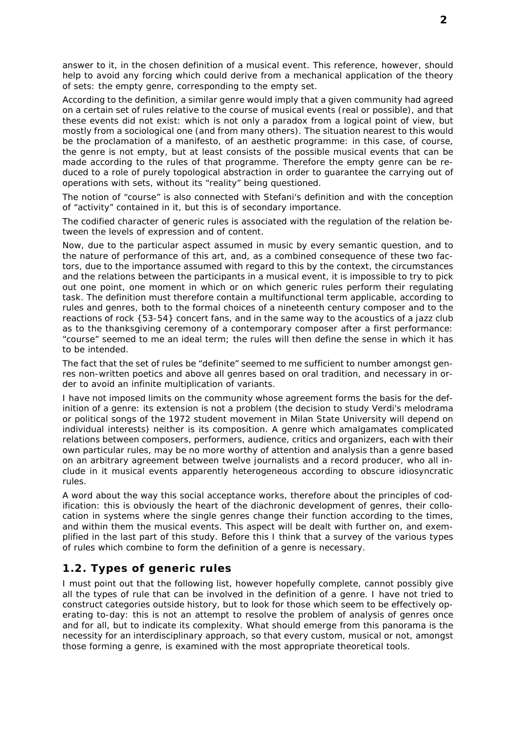answer to it, in the chosen definition of a musical event. This reference, however, should help to avoid any forcing which could derive from a mechanical application of the theory of sets: the empty genre, corresponding to the empty set.

According to the definition, a similar genre would imply that a given community had agreed on a certain set of rules relative to the course of musical events (real or possible), and that these events did not exist: which is not only a paradox from a logical point of view, but mostly from a sociological one (and from many others). The situation nearest to this would be the proclamation of a manifesto, of an aesthetic programme: in this case, of course, the genre is not empty, but at least consists of the possible musical events that can be made according to the rules of that programme. Therefore the empty genre can be reduced to a role of purely topological abstraction in order to guarantee the carrying out of operations with sets, without its "reality" being questioned.

The notion of "course" is also connected with Stefani's definition and with the conception of "activity" contained in it, but this is of secondary importance.

The codified character of generic rules is associated with the regulation of the relation between the levels of expression and of content.

Now, due to the particular aspect assumed in music by every semantic question, and to the nature of performance of this art, and, as a combined consequence of these two factors, due to the importance assumed with regard to this by the context, the circumstances and the relations between the participants in a musical event, it is impossible to try to pick out one point, one moment in which or on which generic rules perform their regulating task. The definition must therefore contain a multifunctional term applicable, according to rules and genres, both to the formal choices of a nineteenth century composer and to the reactions of rock {53-54} concert fans, and in the same way to the acoustics of a jazz club as to the thanksgiving ceremony of a contemporary composer after a first performance: "course" seemed to me an ideal term; the rules will then define the sense in which it has to be intended.

The fact that the set of rules be "definite" seemed to me sufficient to number amongst genres non-written poetics and above all genres based on oral tradition, and necessary in order to avoid an infinite multiplication of variants.

I have not imposed limits on the community whose agreement forms the basis for the definition of a genre: its extension is not a problem (the decision to study Verdi's melodrama or political songs of the 1972 student movement in Milan State University will depend on individual interests) neither is its composition. A genre which amalgamates complicated relations between composers, performers, audience, critics and organizers, each with their own particular rules, may be no more worthy of attention and analysis than a genre based on an arbitrary agreement between twelve journalists and a record producer, who all include in it musical events apparently heterogeneous according to obscure idiosyncratic rules.

A word about the way this social acceptance works, therefore about the principles of codification: this is obviously the heart of the diachronic development of genres, their collocation in systems where the single genres change their function according to the times, and within them the musical events. This aspect will be dealt with further on, and exemplified in the last part of this study. Before this I think that a survey of the various types of rules which combine to form the definition of a genre is necessary.

## **1.2. Types of generic rules**

I must point out that the following list, however hopefully complete, cannot possibly give all the types of rule that can be involved in the definition of a genre. I have not tried to construct categories outside history, but to look for those which seem to be effectively operating to-day: this is not an attempt to resolve the problem of analysis of genres once and for all, but to indicate its complexity. What should emerge from this panorama is the necessity for an interdisciplinary approach, so that every custom, musical or not, amongst those forming a genre, is examined with the most appropriate theoretical tools.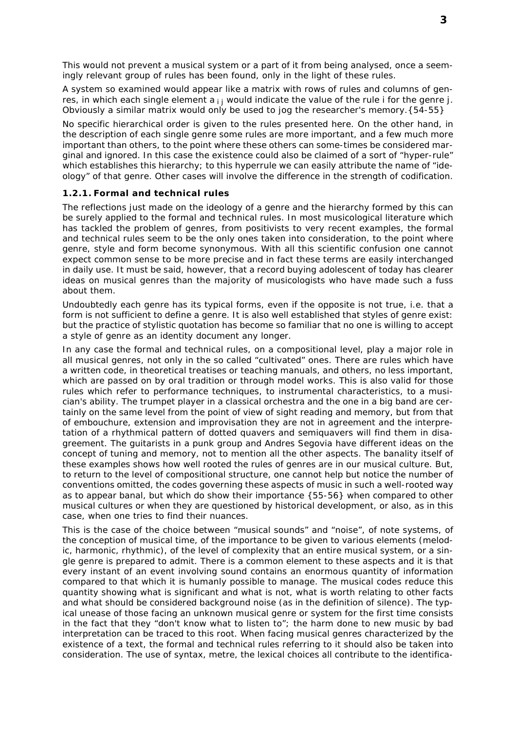This would not prevent a musical system or a part of it from being analysed, once a seemingly relevant group of rules has been found, only in the light of these rules.

A system so examined would appear like a matrix with rows of rules and columns of genres, in which each single element a i j would indicate the value of the rule *i* for the genre *j*. Obviously a similar matrix would only be used to jog the researcher's memory. ${54-55}$ 

No specific hierarchical order is given to the rules presented here. On the other hand, in the description of each single genre some rules are more important, and a few much more important than others, to the point where these others can some-times be considered marginal and ignored. In this case the existence could also be claimed of a sort of "hyper-rule" which establishes this hierarchy; to this hyperrule we can easily attribute the name of "ideology" of that genre. Other cases will involve the difference in the strength of codification.

#### **1.2.1. Formal and technical rules**

The reflections just made on the ideology of a genre and the hierarchy formed by this can be surely applied to the formal and technical rules. In most musicological literature which has tackled the problem of genres, from positivists to very recent examples, the formal and technical rules seem to be the only ones taken into consideration, to the point where genre, style and form become synonymous. With all this scientific confusion one cannot expect common sense to be more precise and in fact these terms are easily interchanged in daily use. It must be said, however, that a record buying adolescent of today has clearer ideas on musical genres than the majority of musicologists who have made such a fuss about them.

Undoubtedly each genre has its typical forms, even if the opposite is not true, i.e. that a form is *not* sufficient to define a genre. It is also well established that styles of genre exist: but the practice of stylistic quotation has become so familiar that no one is willing to accept a style of genre as an identity document any longer.

In any case the formal and technical rules, on a compositional level, play a major role in all musical genres, not only in the so called "cultivated" ones. There are rules which have a written code, in theoretical treatises or teaching manuals, and others, no less important, which are passed on by oral tradition or through model works. This is also valid for those rules which refer to performance techniques, to instrumental characteristics, to a musician's ability. The trumpet player in a classical orchestra and the one in a big band are certainly on the same level from the point of view of sight reading and memory, but from that of embouchure, extension and improvisation they are not in agreement and the interpretation of a rhythmical pattern of dotted quavers and semiquavers will find them in disagreement. The guitarists in a punk group and Andres Segovia have different ideas on the concept of tuning and memory, not to mention all the other aspects. The banality itself of these examples shows how well rooted the rules of genres are in our musical culture. But, to return to the level of compositional structure, one cannot help but notice the number of conventions omitted, the codes governing these aspects of music in such a well-rooted way as to appear banal, but which do show their importance {55-56} when compared to other musical cultures or when they are questioned by historical development, or also, as in this case, when one tries to find their nuances.

This is the case of the choice between "musical sounds" and "noise", of note systems, of the conception of musical time, of the importance to be given to various elements (melodic, harmonic, rhythmic), of the level of complexity that an entire musical system, or a single genre is prepared to admit. There is a common element to these aspects and it is that every instant of an event involving sound contains an enormous quantity of information compared to that which it is humanly possible to manage. The musical codes reduce this quantity showing what is significant and what is not, what is worth relating to other facts and what should be considered background noise (as in the definition of silence). The typical unease of those facing an unknown musical genre or system for the first time consists in the fact that they "don't know what to listen to"; the harm done to new music by bad interpretation can be traced to this root. When facing musical genres characterized by the existence of a text, the formal and technical rules referring to it should also be taken into consideration. The use of syntax, metre, the lexical choices all contribute to the identifica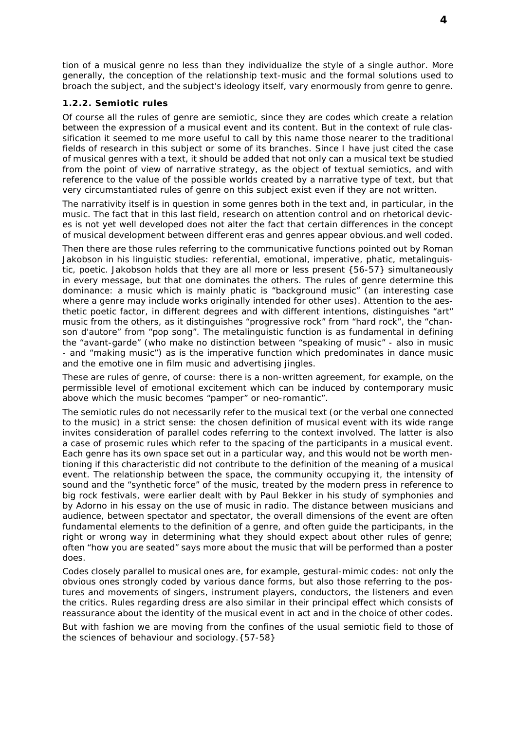tion of a musical genre no less than they individualize the style of a single author. More generally, the conception of the relationship text-music and the formal solutions used to broach the subject, and the subject's ideology itself, vary enormously from genre to genre.

#### **1.2.2. Semiotic rules**

Of course all the rules of genre are semiotic, since they are codes which create a relation between the expression of a musical event and its content. But in the context of rule classification it seemed to me more useful to call by this name those nearer to the traditional fields of research in this subject or some of its branches. Since I have just cited the case of musical genres with a text, it should be added that not only can a musical text be studied from the point of view of narrative strategy, as the object of textual semiotics, and with reference to the value of the possible worlds created by a narrative type of text, but that very circumstantiated rules of genre on this subject exist even if they are not written.

The narrativity itself is in question in some genres both in the text and, in particular, in the music. The fact that in this last field, research on attention control and on rhetorical devices is not yet well developed does not alter the fact that certain differences in the concept of musical development between different eras and genres appear obvious.and well coded.

Then there are those rules referring to the communicative functions pointed out by Roman Jakobson in his linguistic studies: referential, emotional, imperative, phatic, metalinguistic, poetic. Jakobson holds that they are all more or less present {56-57} simultaneously in every message, but that one dominates the others. The rules of genre determine this dominance: a music which is mainly phatic is "background music" (an interesting case where a genre may include works originally intended for other uses). Attention to the aesthetic poetic factor, in different degrees and with different intentions, distinguishes "art" music from the others, as it distinguishes "progressive rock" from "hard rock", the "*chanson d'autore*" from "pop song". The metalinguistic function is as fundamental in defining the "avant-garde" (who make no distinction between "speaking of music" - also in music - and "making music") as is the imperative function which predominates in dance music and the emotive one in film music and advertising jingles.

These are rules of genre, of course: there is a non-written agreement, for example, on the permissible level of emotional excitement which can be induced by contemporary music above which the music becomes "pamper" or neo-romantic".

The semiotic rules do not necessarily refer to the musical text (or the verbal one connected to the music) in a strict sense: the chosen definition of musical event with its wide range invites consideration of parallel codes referring to the context involved. The latter is also a case of prosemic rules which refer to the spacing of the participants in a musical event. Each genre has its own space set out in a particular way, and this would not be worth mentioning if this characteristic did not contribute to the definition of the meaning of a musical event. The relationship between the space, the community occupying it, the intensity of sound and the "synthetic force" of the music, treated by the modern press in reference to big rock festivals, were earlier dealt with by Paul Bekker in his study of symphonies and by Adorno in his essay on the use of music in radio. The distance between musicians and audience, between spectator and spectator, the overall dimensions of the event are often fundamental elements to the definition of a genre, and often guide the participants, in the right or wrong way in determining what they should expect about other rules of genre; often "how you are seated" says more about the music that will be performed than a poster does.

Codes closely parallel to musical ones are, for example, gestural-mimic codes: not only the obvious ones strongly coded by various dance forms, but also those referring to the postures and movements of singers, instrument players, conductors, the listeners and even the critics. Rules regarding dress are also similar in their principal effect which consists of reassurance about the identity of the musical event in act and in the choice of other codes.

But with fashion we are moving from the confines of the usual semiotic field to those of the sciences of behaviour and sociology.{57-58}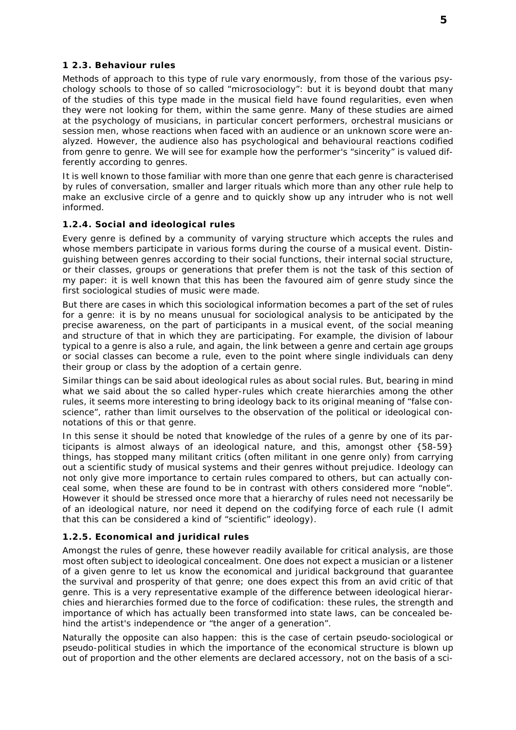#### **1 2.3. Behaviour rules**

Methods of approach to this type of rule vary enormously, from those of the various psychology schools to those of so called "microsociology": but it is beyond doubt that many of the studies of this type made in the musical field have found regularities, even when they were not looking for them, within the same genre. Many of these studies are aimed at the psychology of musicians, in particular concert performers, orchestral musicians or session men, whose reactions when faced with an audience or an unknown score were analyzed. However, the audience also has psychological and behavioural reactions codified from genre to genre. We will see for example how the performer's "sincerity" is valued differently according to genres.

It is well known to those familiar with more than one genre that each genre is characterised by rules of conversation, smaller and larger rituals which more than any other rule help to make an exclusive circle of a genre and to quickly show up any intruder who is not well informed.

#### **1.2.4. Social and ideological rules**

Every genre is defined by a community of varying structure which accepts the rules and whose members participate in various forms during the course of a musical event. Distinguishing between genres according to their social functions, their internal social structure, or their classes, groups or generations that prefer them is not the task of this section of my paper: it is well known that this has been the favoured aim of genre study since the first sociological studies of music were made.

But there are cases in which this sociological information becomes a part of the set of rules for a genre: it is by no means unusual for sociological analysis to be anticipated by the precise awareness, on the part of participants in a musical event, of the social meaning and structure of that in which they are participating. For example, the division of labour typical to a genre is also a rule, and again, the link between a genre and certain age groups or social classes can become a rule, even to the point where single individuals can deny their group or class by the adoption of a certain genre.

Similar things can be said about ideological rules as about social rules. But, bearing in mind what we said about the so called hyper-rules which create hierarchies among the other rules, it seems more interesting to bring ideology back to its original meaning of "false conscience", rather than limit ourselves to the observation of the political or ideological connotations of this or that genre.

In this sense it should be noted that knowledge of the rules of a genre by one of its participants is almost always of an ideological nature, and this, amongst other {58-59} things, has stopped many militant critics (often militant in one genre only) from carrying out a scientific study of musical systems and their genres without prejudice. Ideology can not only give more importance to certain rules compared to others, but can actually conceal some, when these are found to be in contrast with others considered more "noble". However it should be stressed once more that a hierarchy of rules need not necessarily be of an ideological nature, nor need it depend on the codifying force of each rule (I admit that this can be considered a kind of "scientific" ideology).

#### **1.2.5. Economical and juridical rules**

Amongst the rules of genre, these however readily available for critical analysis, are those most often subject to ideological concealment. One does not expect a musician or a listener of a given genre to let us know the economical and juridical background that guarantee the survival and prosperity of that genre; one does expect this from an avid critic of that genre. This is a very representative example of the difference between ideological hierarchies and hierarchies formed due to the force of codification: these rules, the strength and importance of which has actually been transformed into state laws, can be concealed behind the artist's independence or "the anger of a generation".

Naturally the opposite can also happen: this is the case of certain pseudo-sociological or pseudo-political studies in which the importance of the economical structure is blown up out of proportion and the other elements are declared accessory, not on the basis of a sci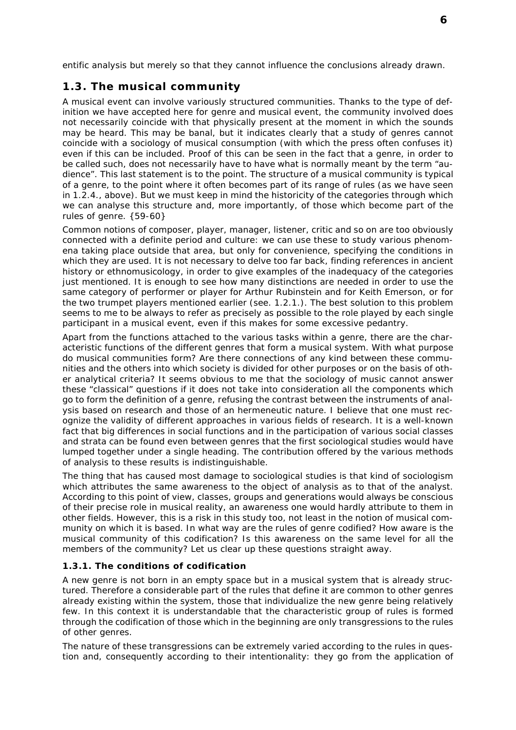entific analysis but merely so that they cannot influence the conclusions already drawn.

## **1.3. The musical community**

A musical event can involve variously structured communities. Thanks to the type of definition we have accepted here for genre and musical event, the community involved does not necessarily coincide with that physically present at the moment in which the sounds may be heard. This may be banal, but it indicates clearly that a study of genres cannot coincide with a sociology of musical consumption (with which the press often confuses it) even if this can be included. Proof of this can be seen in the fact that a genre, in order to be called such, does not necessarily have to have what is normally meant by the term "audience". This last statement is to the point. The structure of a musical community is typical of a genre, to the point where it often becomes part of its range of rules (as we have seen in 1.2.4., above). But we must keep in mind the historicity of the categories through which we can analyse this structure and, more importantly, of those which become part of the rules of genre. {59-60}

Common notions of composer, player, manager, listener, critic and so on are too obviously connected with a definite period and culture: we can use these to study various phenomena taking place outside that area, but only for convenience, specifying the conditions in which they are used. It is not necessary to delve too far back, finding references in ancient history or ethnomusicology, in order to give examples of the inadequacy of the categories just mentioned. It is enough to see how many distinctions are needed in order to use the same category of performer or player for Arthur Rubinstein and for Keith Emerson, or for the two trumpet players mentioned earlier (see. 1.2.1.). The best solution to this problem seems to me to be always to refer as precisely as possible to the role played by each single participant in a musical event, even if this makes for some excessive pedantry.

Apart from the functions attached to the various tasks within a genre, there are the characteristic functions of the different genres that form a musical system. With what purpose do musical communities form? Are there connections of any kind between these communities and the others into which society is divided for other purposes or on the basis of other analytical criteria? It seems obvious to me that the sociology of music cannot answer these "classical" questions if it does not take into consideration all the components which go to form the definition of a genre, refusing the contrast between the instruments of analysis based on research and those of an hermeneutic nature. I believe that one must recognize the validity of different approaches in various fields of research. It is a well-known fact that big differences in social functions and in the participation of various social classes and strata can be found even between genres that the first sociological studies would have lumped together under a single heading. The contribution offered by the various methods of analysis to these results is indistinguishable.

The thing that has caused most damage to sociological studies is that kind of sociologism which attributes the same awareness to the object of analysis as to that of the analyst. According to this point of view, classes, groups and generations would always be conscious of their precise role in musical reality, an awareness one would hardly attribute to them in other fields. However, this is a risk in this study too, not least in the notion of musical community on which it is based. In what way are the rules of genre codified? How aware is the musical community of this codification? Is this awareness on the same level for all the members of the community? Let us clear up these questions straight away.

#### **1.3.1. The conditions of codification**

A new genre is not born in an empty space but in a musical system that is already structured. Therefore a considerable part of the rules that define it are common to other genres already existing within the system, those that individualize the new genre being relatively few. In this context it is understandable that the characteristic group of rules is formed through the codification of those which in the beginning are only transgressions to the rules of other genres.

The nature of these transgressions can be extremely varied according to the rules in question and, consequently according to their intentionality: they go from the application of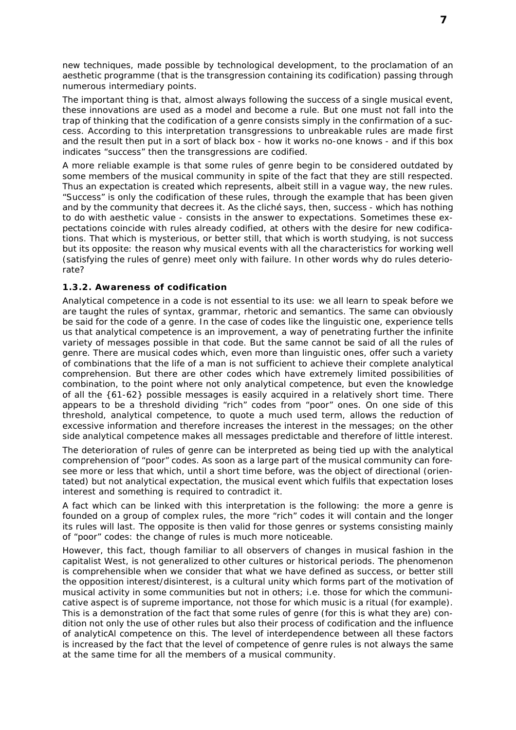new techniques, made possible by technological development, to the proclamation of an aesthetic programme (that is the transgression containing its codification) passing through numerous intermediary points.

The important thing is that, almost always following the success of a single musical event, these innovations are used as a model and become a rule. But one must not fall into the trap of thinking that the codification of a genre consists simply in the confirmation of a success. According to this interpretation transgressions to unbreakable rules are made first and the result then put in a sort of black box - how it works no-one knows - and if this box indicates "success" then the transgressions are codified.

A more reliable example is that some rules of genre begin to be considered outdated by some members of the musical community in spite of the fact that they are still respected. Thus an expectation is created which represents, albeit still in a vague way, the new rules. "Success" is only the codification of these rules, through the example that has been given and by the community that decrees it. As the cliché says, then, success - which has nothing to do with aesthetic value - consists in the answer to expectations. Sometimes these expectations coincide with rules already codified, at others with the desire for new codifications. That which is mysterious, or better still, that which is worth studying, is not success but its opposite: the reason why musical events with all the characteristics for working well (satisfying the rules of genre) meet only with failure. In other words why do rules deteriorate?

#### **1.3.2. Awareness of codification**

Analytical competence in a code is not essential to its use: we all learn to speak before we are taught the rules of syntax, grammar, rhetoric and semantics. The same can obviously be said for the code of a genre. In the case of codes like the linguistic one, experience tells us that analytical competence is an improvement, a way of penetrating further the infinite variety of messages possible in that code. But the same cannot be said of all the rules of genre. There are musical codes which, even more than linguistic ones, offer such a variety of combinations that the life of a man is not sufficient to achieve their complete analytical comprehension. But there are other codes which have extremely limited possibilities of combination, to the point where not only analytical competence, but even the knowledge of all the {61-62} possible messages is easily acquired in a relatively short time. There appears to be a threshold dividing "rich" codes from "poor" ones. On one side of this threshold, analytical competence, to quote a much used term, allows the reduction of excessive information and therefore increases the interest in the messages; on the other side analytical competence makes all messages predictable and therefore of little interest.

The deterioration of rules of genre can be interpreted as being tied up with the analytical comprehension of "poor" codes. As soon as a large part of the musical community can foresee more or less that which, until a short time before, was the object of directional (orientated) but not analytical expectation, the musical event which fulfils that expectation loses interest and something is required to contradict it.

A fact which can be linked with this interpretation is the following: the more a genre is founded on a group of complex rules, the more "rich" codes it will contain and the longer its rules will last. The opposite is then valid for those genres or systems consisting mainly of "poor" codes: the change of rules is much more noticeable.

However, this fact, though familiar to all observers of changes in musical fashion in the capitalist West, is not generalized to other cultures or historical periods. The phenomenon is comprehensible when we consider that what we have defined as success, or better still the opposition interest/disinterest, is a cultural unity which forms part of the motivation of musical activity in some communities but not in others; i.e. those for which the communicative aspect is of supreme importance, not those for which music is a ritual (for example). This is a demonstration of the fact that some rules of genre (for this is what they are) condition not only the use of other rules but also their process of codification and the influence of analyticAl competence on this. The level of interdependence between all these factors is increased by the fact that the level of competence of genre rules is not always the same at the same time for all the members of a musical community.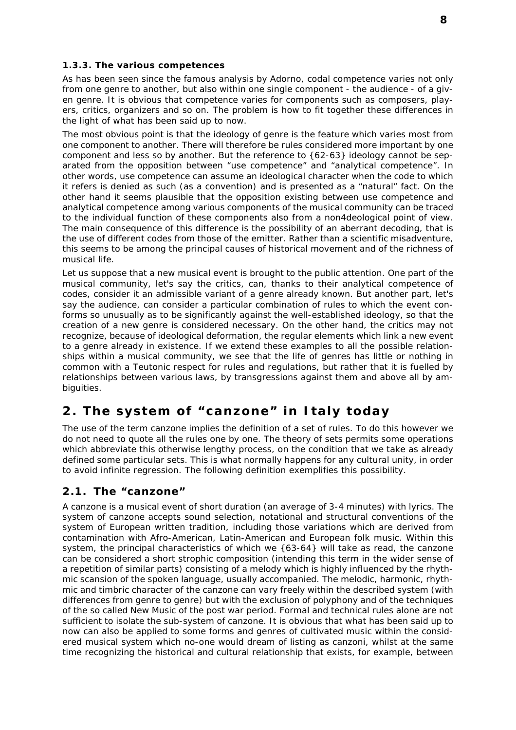#### **1.3.3. The various competences**

As has been seen since the famous analysis by Adorno, codal competence varies not only from one genre to another, but also within one single component - the audience - of a given genre. It is obvious that competence varies for components such as composers, players, critics, organizers and so on. The problem is how to fit together these differences in the light of what has been said up to now.

The most obvious point is that the ideology of genre is the feature which varies most from one component to another. There will therefore be rules considered more important by one component and less so by another. But the reference to {62-63} ideology cannot be separated from the opposition between "use competence" and "analytical competence". In other words, use competence can assume an ideological character when the code to which it refers is denied as such (as a convention) and is presented as a "natural" fact. On the other hand it seems plausible that the opposition existing between use competence and analytical competence among various components of the musical community can be traced to the individual function of these components also from a non4deological point of view. The main consequence of this difference is the possibility of an aberrant decoding, that is the use of different codes from those of the emitter. Rather than a scientific misadventure, this seems to be among the principal causes of historical movement and of the richness of musical life.

Let us suppose that a new musical event is brought to the public attention. One part of the musical community, let's say the critics, can, thanks to their analytical competence of codes, consider it an admissible variant of a genre already known. But another part, let's say the audience, can consider a particular combination of rules to which the event conforms so unusually as to be significantly against the well-established ideology, so that the creation of a new genre is considered necessary. On the other hand, the critics may not recognize, because of ideological deformation, the regular elements which link a new event to a genre already in existence. If we extend these examples to all the possible relationships within a musical community, we see that the life of genres has little or nothing in common with a Teutonic respect for rules and regulations, but rather that it is fuelled by relationships between various laws, by transgressions against them and above all by ambiguities.

# **2. The system of "***canzone***" in Italy today**

The use of the term *canzone* implies the definition of a set of rules. To do this however we do not need to quote all the rules one by one. The theory of sets permits some operations which abbreviate this otherwise lengthy process, on the condition that we take as already defined some particular sets. This is what normally happens for any cultural unity, in order to avoid infinite regression. The following definition exemplifies this possibility.

### **2.1. The "***canzone***"**

A *canzone* is a musical event of short duration (an average of 3-4 minutes) with lyrics. The system of *canzone* accepts sound selection, notational and structural conventions of the system of European written tradition, including those variations which are derived from contamination with Afro-American, Latin-American and European folk music. Within this system, the principal characteristics of which we {63-64} will take as read, the *canzone* can be considered a short strophic composition (intending this term in the wider sense of a repetition of similar parts) consisting of a melody which is highly influenced by the rhythmic scansion of the spoken language, usually accompanied. The melodic, harmonic, rhythmic and timbric character of the *canzone* can vary freely within the described system (with differences from genre to genre) but with the exclusion of polyphony and of the techniques of the so called New Music of the post war period. Formal and technical rules alone are not sufficient to isolate the sub-system of *canzone*. It is obvious that what has been said up to now can also be applied to some forms and genres of cultivated music within the considered musical system which no-one would dream of listing as *canzoni*, whilst at the same time recognizing the historical and cultural relationship that exists, for example, between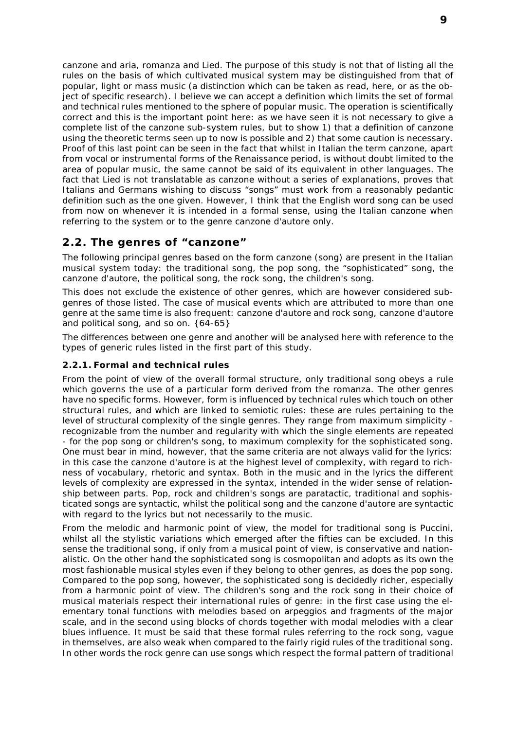*canzone* and aria, *romanza* and Lied. The purpose of this study is not that of listing all the rules on the basis of which cultivated musical system may be distinguished from that of popular, light or mass music (a distinction which can be taken as read, here, or as the object of specific research). I believe we can accept a definition which limits the set of formal and technical rules mentioned to the sphere of popular music. The operation is scientifically correct and this is the important point here: as we have seen it is not necessary to give a complete list of the *canzone* sub-system rules, but to show 1) that a definition of *canzone* using the theoretic terms seen up to now is possible and 2) that some caution is necessary. Proof of this last point can be seen in the fact that whilst in Italian the term *canzone*, apart from vocal or instrumental forms of the Renaissance period, is without doubt limited to the area of popular music, the same cannot be said of its equivalent in other languages. The fact that Lied is not translatable as *canzone* without a series of explanations, proves that Italians and Germans wishing to discuss "songs" must work from a reasonably pedantic definition such as the one given. However, I think that the English word song can be used from now on whenever it is intended in a formal sense, using the Italian *canzone* when referring to the system or to the genre *canzone* d'autore only.

### **2.2. The genres of "***canzone***"**

The following principal genres based on the form *canzone* (song) are present in the Italian musical system today: the traditional song, the pop song, the "sophisticated" song, the *canzone d'autore*, the political song, the rock song, the children's song.

This does not exclude the existence of other genres, which are however considered subgenres of those listed. The case of musical events which are attributed to more than one genre at the same time is also frequent: *canzone d'autore* and rock song, *canzone d'autore* and political song, and so on. {64-65}

The differences between one genre and another will be analysed here with reference to the types of generic rules listed in the first part of this study.

#### **2.2.1. Formal and technical rules**

From the point of view of the overall formal structure, only traditional song obeys a rule which governs the use of a particular form derived from the romanza. The other genres have no specific forms. However, form is influenced by technical rules which touch on other structural rules, and which are linked to semiotic rules: these are rules pertaining to the level of structural complexity of the single genres. They range from maximum simplicity recognizable from the number and regularity with which the single elements are repeated - for the pop song or children's song, to maximum complexity for the sophisticated song. One must bear in mind, however, that the same criteria are not always valid for the lyrics: in this case the *canzone d'autore* is at the highest level of complexity, with regard to richness of vocabulary, rhetoric and syntax. Both in the music and in the lyrics the different levels of complexity are expressed in the syntax, intended in the wider sense of relationship between parts. Pop, rock and children's songs are paratactic, traditional and sophisticated songs are syntactic, whilst the political song and the *canzone d'autore* are syntactic with regard to the lyrics but not necessarily to the music.

From the melodic and harmonic point of view, the model for traditional song is Puccini, whilst all the stylistic variations which emerged after the fifties can be excluded. In this sense the traditional song, if only from a musical point of view, is conservative and nationalistic. On the other hand the sophisticated song is cosmopolitan and adopts as its own the most fashionable musical styles even if they belong to other genres, as does the pop song. Compared to the pop song, however, the sophisticated song is decidedly richer, especially from a harmonic point of view. The children's song and the rock song in their choice of musical materials respect their international rules of genre: in the first case using the elementary tonal functions with melodies based on arpeggios and fragments of the major scale, and in the second using blocks of chords together with modal melodies with a clear blues influence. It must be said that these formal rules referring to the rock song, vague in themselves, are also weak when compared to the fairly rigid rules of the traditional song. In other words the rock genre can use songs which respect the formal pattern of traditional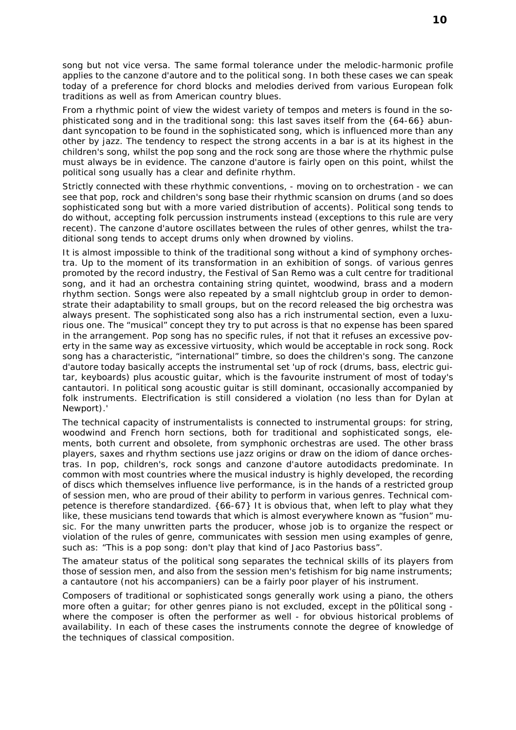song but not vice versa. The same formal tolerance under the melodic-harmonic profile applies to the *canzone d'autore* and to the political song. In both these cases we can speak today of a preference for chord blocks and melodies derived from various European folk traditions as well as from American country blues.

From a rhythmic point of view the widest variety of tempos and meters is found in the sophisticated song and in the traditional song: this last saves itself from the {64-66} abundant syncopation to be found in the sophisticated song, which is influenced more than any other by jazz. The tendency to respect the strong accents in a bar is at its highest in the children's song, whilst the pop song and the rock song are those where the rhythmic pulse must always be in evidence. The *canzone d'autore* is fairly open on this point, whilst the political song usually has a clear and definite rhythm.

Strictly connected with these rhythmic conventions, - moving on to orchestration - we can see that pop, rock and children's song base their rhythmic scansion on drums (and so does sophisticated song but with a more varied distribution of accents). Political song tends to do without, accepting folk percussion instruments instead (exceptions to this rule are very recent). The *canzone d'autore* oscillates between the rules of other genres, whilst the traditional song tends to accept drums only when drowned by violins.

It is almost impossible to think of the traditional song without a kind of symphony orchestra. Up to the moment of its transformation in an exhibition of songs. of various genres promoted by the record industry, the Festival of San Remo was a cult centre for traditional song, and it had an orchestra containing string quintet, woodwind, brass and a modern rhythm section. Songs were also repeated by a small nightclub group in order to demonstrate their adaptability to small groups, but on the record released the big orchestra was always present. The sophisticated song also has a rich instrumental section, even a luxurious one. The "musical" concept they try to put across is that no expense has been spared in the arrangement. Pop song has no specific rules, if not that it refuses an excessive poverty in the same way as excessive virtuosity, which would be acceptable in rock song. Rock song has a characteristic, "international" timbre, so does the children's song. The *canzone d'autore* today basically accepts the instrumental set 'up of rock (drums, bass, electric guitar, keyboards) plus acoustic guitar, which is the favourite instrument of most of today's *cantautori*. In political song acoustic guitar is still dominant, occasionally accompanied by folk instruments. Electrification is still considered a violation (no less than for Dylan at Newport).'

The technical capacity of instrumentalists is connected to instrumental groups: for string, woodwind and French horn sections, both for traditional and sophisticated songs, elements, both current and obsolete, from symphonic orchestras are used. The other brass players, saxes and rhythm sections use jazz origins or draw on the idiom of dance orchestras. In pop, children's, rock songs and *canzone d'autore* autodidacts predominate. In common with most countries where the musical industry is highly developed, the recording of discs which themselves influence live performance, is in the hands of a restricted group of session men, who are proud of their ability to perform in various genres. Technical competence is therefore standardized. {66-67} It is obvious that, when left to play what they like, these musicians tend towards that which is almost everywhere known as "fusion" music. For the many unwritten parts the producer, whose job is to organize the respect or violation of the rules of genre, communicates with session men using examples of genre, such as: "This is a pop song: don't play that kind of Jaco Pastorius bass".

The amateur status of the political song separates the technical skills of its players from those of session men, and also from the session men's fetishism for big name instruments; a *cantautore* (not his accompaniers) can be a fairly poor player of his instrument.

Composers of traditional or sophisticated songs generally work using a piano, the others more often a guitar; for other genres piano is not excluded, except in the p0litical song where the composer is often the performer as well - for obvious historical problems of availability. In each of these cases the instruments connote the degree of knowledge of the techniques of classical composition.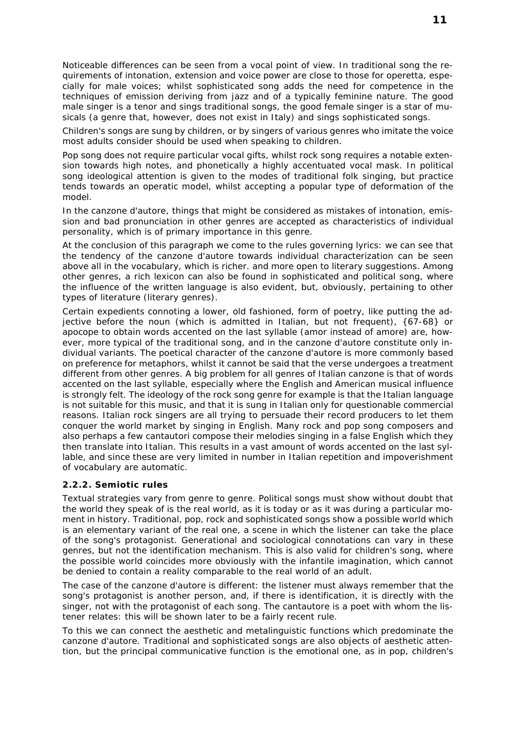Noticeable differences can be seen from a vocal point of view. In traditional song the requirements of intonation, extension and voice power are close to those for operetta, especially for male voices; whilst sophisticated song adds the need for competence in the techniques of emission deriving from jazz and of a typically feminine nature. The good male singer is a tenor and sings traditional songs, the good female singer is a star of musicals (a genre that, however, does not exist in Italy) and sings sophisticated songs.

Children's songs are sung by children, or by singers of various genres who imitate the voice most adults consider should be used when speaking to children.

Pop song does not require particular vocal gifts, whilst rock song requires a notable extension towards high notes, and phonetically a highly accentuated vocal mask. In political song ideological attention is given to the modes of traditional folk singing, but practice tends towards an operatic model, whilst accepting a popular type of deformation of the model.

In the *canzone d'autore*, things that might be considered as mistakes of intonation, emission and bad pronunciation in other genres are accepted as characteristics of individual personality, which is of primary importance in this genre.

At the conclusion of this paragraph we come to the rules governing lyrics: we can see that the tendency of the *canzone d'autore* towards individual characterization can be seen above all in the vocabulary, which is richer. and more open to literary suggestions. Among other genres, a rich lexicon can also be found in sophisticated and political song, where the influence of the written language is also evident, but, obviously, pertaining to other types of literature (literary genres).

Certain expedients connoting a lower, old fashioned, form of poetry, like putting the adjective before the noun (which is admitted in Italian, but not frequent), {67-68} or apocope to obtain words accented on the last syllable (*amor* instead of *amore*) are, however, more typical of the traditional song, and in the *canzone d'autore* constitute only individual variants. The poetical character of the *canzone d'autore* is more commonly based on preference for metaphors, whilst it cannot be said that the verse undergoes a treatment different from other genres. A big problem for all genres of Italian *canzone* is that of words accented on the last syllable, especially where the English and American musical influence is strongly felt. The ideology of the rock song genre for example is that the Italian language is not suitable for this music, and that it is sung in Italian only for questionable commercial reasons. Italian rock singers are all trying to persuade their record producers to let them conquer the world market by singing in English. Many rock and pop song composers and also perhaps a few *cantautori* compose their melodies singing in a false English which they then translate into Italian. This results in a vast amount of words accented on the last syllable, and since these are very limited in number in Italian repetition and impoverishment of vocabulary are automatic.

#### **2.2.2. Semiotic rules**

Textual strategies vary from genre to genre. Political songs must show without doubt that the world they speak of is the real world, as it is today or as it was during a particular moment in history. Traditional, pop, rock and sophisticated songs show a possible world which is an elementary variant of the real one, a scene in which the listener can take the place of the song's protagonist. Generational and sociological connotations can vary in these genres, but not the identification mechanism. This is also valid for children's song, where the possible world coincides more obviously with the infantile imagination, which cannot be denied to contain a reality comparable to the real world of an adult.

The case of the *canzone d'autore* is different: the listener must always remember that the song's protagonist is another person, and, if there is identification, it is directly with the singer, not with the protagonist of each song. The *cantautore* is a poet with whom the listener relates: this will be shown later to be a fairly recent rule.

To this we can connect the aesthetic and metalinguistic functions which predominate the *canzone d'autore*. Traditional and sophisticated songs are also objects of aesthetic attention, but the principal communicative function is the emotional one, as in pop, children's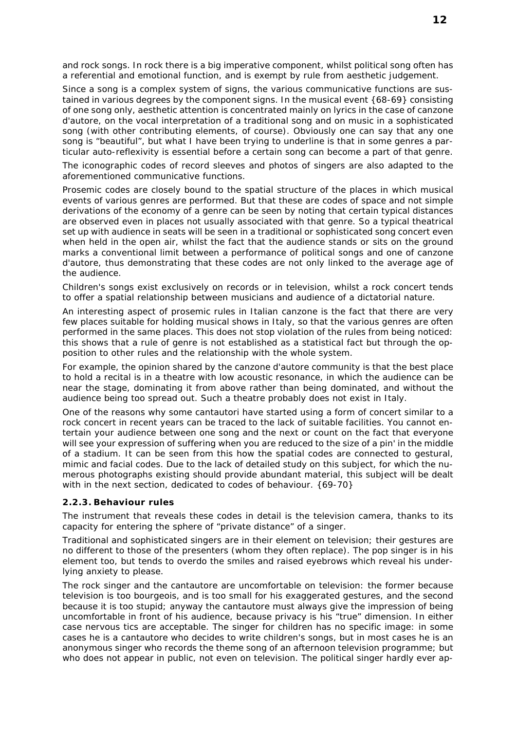and rock songs. In rock there is a big imperative component, whilst political song often has a referential and emotional function, and is exempt by rule from aesthetic judgement.

Since a song is a complex system of signs, the various communicative functions are sustained in various degrees by the component signs. In the musical event {68-69} consisting of one song only, aesthetic attention is concentrated mainly on lyrics in the case of *canzone d'autore*, on the vocal interpretation of a traditional song and on music in a sophisticated song (with other contributing elements, of course). Obviously one can say that any one song is "beautiful", but what I have been trying to underline is that in some genres a particular auto-reflexivity is essential before a certain song can become a part of that genre.

The iconographic codes of record sleeves and photos of singers are also adapted to the aforementioned communicative functions.

Prosemic codes are closely bound to the spatial structure of the places in which musical events of various genres are performed. But that these are codes of space and not simple derivations of the economy of a genre can be seen by noting that certain typical distances are observed even in places not usually associated with that genre. So a typical theatrical set up with audience in seats will be seen in a traditional or sophisticated song concert even when held in the open air, whilst the fact that the audience stands or sits on the ground marks a conventional limit between a performance of political songs and one of *canzone d'autore*, thus demonstrating that these codes are not only linked to the average age of the audience.

Children's songs exist exclusively on records or in television, whilst a rock concert tends to offer a spatial relationship between musicians and audience of a dictatorial nature.

An interesting aspect of prosemic rules in Italian *canzone* is the fact that there are very few places suitable for holding musical shows in Italy, so that the various genres are often performed in the same places. This does not stop violation of the rules from being noticed: this shows that a rule of genre is not established as a statistical fact but through the opposition to other rules and the relationship with the whole system.

For example, the opinion shared by the *canzone d'autore* community is that the best place to hold a recital is in a theatre with low acoustic resonance, in which the audience can be near the stage, dominating it from above rather than being dominated, and without the audience being too spread out. Such a theatre probably does not exist in Italy.

One of the reasons why some *cantautori* have started using a form of concert similar to a rock concert in recent years can be traced to the lack of suitable facilities. You cannot entertain your audience between one song and the next or count on the fact that everyone will see your expression of suffering when you are reduced to the size of a pin' in the middle of a stadium. It can be seen from this how the spatial codes are connected to gestural, mimic and facial codes. Due to the lack of detailed study on this subject, for which the numerous photographs existing should provide abundant material, this subject will be dealt with in the next section, dedicated to codes of behaviour. {69-70}

#### **2.2.3. Behaviour rules**

The instrument that reveals these codes in detail is the television camera, thanks to its capacity for entering the sphere of "private distance" of a singer.

Traditional and sophisticated singers are in their element on television; their gestures are no different to those of the presenters (whom they often replace). The pop singer is in his element too, but tends to overdo the smiles and raised eyebrows which reveal his underlying anxiety to please.

The rock singer and the *cantautore* are uncomfortable on television: the former because television is too bourgeois, and is too small for his exaggerated gestures, and the second because it is too stupid; anyway the *cantautore* must always give the impression of being uncomfortable in front of his audience, because privacy is his "true" dimension. In either case nervous tics are acceptable. The singer for children has no specific image: in some cases he is a *cantautore* who decides to write children's songs, but in most cases he is an anonymous singer who records the theme song of an afternoon television programme; but who does not appear in public, not even on television. The political singer hardly ever ap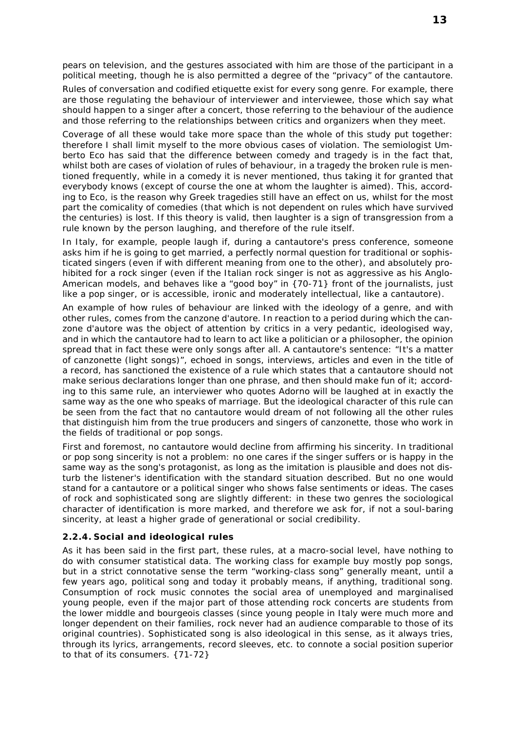pears on television, and the gestures associated with him are those of the participant in a political meeting, though he is also permitted a degree of the "privacy" of the *cantautore*.

Rules of conversation and codified etiquette exist for every song genre. For example, there are those regulating the behaviour of interviewer and interviewee, those which say what should happen to a singer after a concert, those referring to the behaviour of the audience and those referring to the relationships between critics and organizers when they meet.

Coverage of all these would take more space than the whole of this study put together: therefore I shall limit myself to the more obvious cases of violation. The semiologist Umberto Eco has said that the difference between comedy and tragedy is in the fact that, whilst both are cases of violation of rules of behaviour, in a tragedy the broken rule is mentioned frequently, while in a comedy it is never mentioned, thus taking it for granted that everybody knows (except of course the one at whom the laughter is aimed). This, according to Eco, is the reason why Greek tragedies still have an effect on us, whilst for the most part the comicality of comedies (that which is not dependent on rules which have survived the centuries) is lost. If this theory is valid, then laughter is a sign of transgression from a rule known by the person laughing, and therefore of the rule itself.

In Italy, for example, people laugh if, during a *cantautore*'s press conference, someone asks him if he is going to get married, a perfectly normal question for traditional or sophisticated singers (even if with different meaning from one to the other), and absolutely prohibited for a rock singer (even if the Italian rock singer is not as aggressive as his Anglo-American models, and behaves like a "good boy" in {70-71} front of the journalists, just like a pop singer, or is accessible, ironic and moderately intellectual, like a *cantautore*).

An example of how rules of behaviour are linked with the ideology of a genre, and with other rules, comes from the *canzone d'autore*. In reaction to a period during which the *canzone d'autore* was the object of attention by critics in a very pedantic, ideologised way, and in which the *cantautore* had to learn to act like a politician or a philosopher, the opinion spread that in fact these were only songs after all. A *cantautore*'s sentence: "It's a matter of *canzonette* (light songs)", echoed in songs, interviews, articles and even in the title of a record, has sanctioned the existence of a rule which states that a *cantautore* should not make serious declarations longer than one phrase, and then should make fun of it; according to this same rule, an interviewer who quotes Adorno will be laughed at in exactly the same way as the one who speaks of marriage. But the ideological character of this rule can be seen from the fact that no *cantautore* would dream of not following all the other rules that distinguish him from the true producers and singers of *canzonette*, those who work in the fields of traditional or pop songs.

First and foremost, no *cantautore* would decline from affirming his sincerity. In traditional or pop song sincerity is not a problem: no one cares if the singer suffers or is happy in the same way as the song's protagonist, as long as the imitation is plausible and does not disturb the listener's identification with the standard situation described. But no one would stand for a *cantautore* or a political singer who shows false sentiments or ideas. The cases of rock and sophisticated song are slightly different: in these two genres the sociological character of identification is more marked, and therefore we ask for, if not a soul-baring sincerity, at least a higher grade of generational or social credibility.

#### **2.2.4. Social and ideological rules**

As it has been said in the first part, these rules, at a macro-social level, have nothing to do with consumer statistical data. The working class for example buy mostly pop songs, but in a strict connotative sense the term "working-class song" generally meant, until a few years ago, political song and today it probably means, if anything, traditional song. Consumption of rock music connotes the social area of unemployed and marginalised young people, even if the major part of those attending rock concerts are students from the lower middle and bourgeois classes (since young people in Italy were much more and longer dependent on their families, rock never had an audience comparable to those of its original countries). Sophisticated song is also ideological in this sense, as it always tries, through its lyrics, arrangements, record sleeves, etc. to connote a social position superior to that of its consumers. {71-72}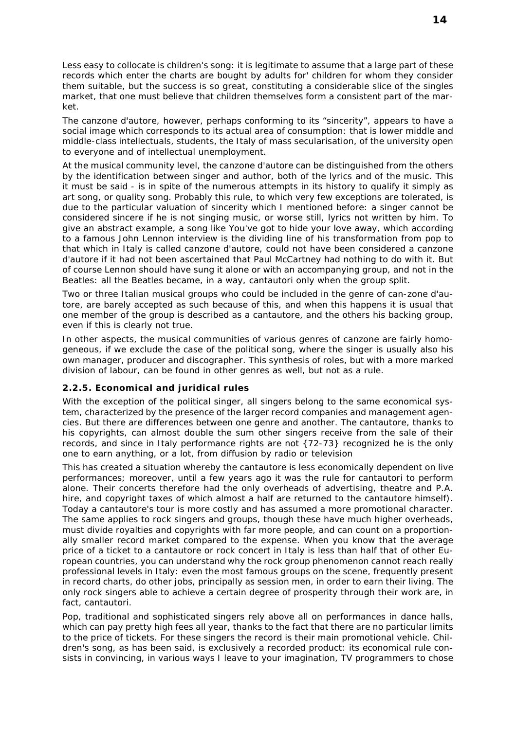Less easy to collocate is children's song: it is legitimate to assume that a large part of these records which enter the charts are bought by adults for' children for whom they consider them suitable, but the success is so great, constituting a considerable slice of the singles market, that one must believe that children themselves form a consistent part of the market.

The *canzone d'autore*, however, perhaps conforming to its "sincerity", appears to have a social image which corresponds to its actual area of consumption: that is lower middle and middle-class intellectuals, students, the Italy of mass secularisation, of the university open to everyone and of intellectual unemployment.

At the musical community level, the *canzone d'autore* can be distinguished from the others by the identification between singer and author, both of the lyrics and of the music. This it must be said - is in spite of the numerous attempts in its history to qualify it simply as art song, or quality song. Probably this rule, to which very few exceptions are tolerated, is due to the particular valuation of sincerity which I mentioned before: a singer cannot be considered sincere if he is not singing music, or worse still, lyrics not written by him. To give an abstract example, a song like *You've got to hide your love away*, which according to a famous John Lennon interview is the dividing line of his transformation from pop to that which in Italy is called *canzone d'autore*, could not have been considered a *canzone d'autore* if it had not been ascertained that Paul McCartney had nothing to do with it. But of course Lennon should have sung it alone or with an accompanying group, and not in the Beatles: all the Beatles became, in a way, *cantautori* only when the group split.

Two or three Italian musical groups who could be included in the genre of can-zone d'autore, are barely accepted as such because of this, and when this happens it is usual that one member of the group is described as a *cantautore*, and the others his backing group, even if this is clearly not true.

In other aspects, the musical communities of various genres of *canzone* are fairly homogeneous, if we exclude the case of the political song, where the singer is usually also his own manager, producer and discographer. This synthesis of roles, but with a more marked division of labour, can be found in other genres as well, but not as a rule.

#### **2.2.5. Economical and juridical rules**

With the exception of the political singer, all singers belong to the same economical system, characterized by the presence of the larger record companies and management agencies. But there are differences between one genre and another. The *cantautore*, thanks to his copyrights, can almost double the sum other singers receive from the sale of their records, and since in Italy performance rights are not {72-73} recognized he is the only one to earn anything, or a lot, from diffusion by radio or television

This has created a situation whereby the *cantautore* is less economically dependent on live performances; moreover, until a few years ago it was the rule for *cantautori* to perform alone. Their concerts therefore had the only overheads of advertising, theatre and P.A. hire, and copyright taxes of which almost a half are returned to the *cantautore* himself). Today a *cantautore*'s tour is more costly and has assumed a more promotional character. The same applies to rock singers and groups, though these have much higher overheads, must divide royalties and copyrights with far more people, and can count on a proportionally smaller record market compared to the expense. When you know that the average price of a ticket to a *cantautore* or rock concert in Italy is less than half that of other European countries, you can understand why the rock group phenomenon cannot reach really professional levels in Italy: even the most famous groups on the scene, frequently present in record charts, do other jobs, principally as session men, in order to earn their living. The only rock singers able to achieve a certain degree of prosperity through their work are, in fact, *cantautori*.

Pop, traditional and sophisticated singers rely above all on performances in dance halls, which can pay pretty high fees all year, thanks to the fact that there are no particular limits to the price of tickets. For these singers the record is their main promotional vehicle. Children's song, as has been said, is exclusively a recorded product: its economical rule consists in convincing, in various ways I leave to your imagination, TV programmers to chose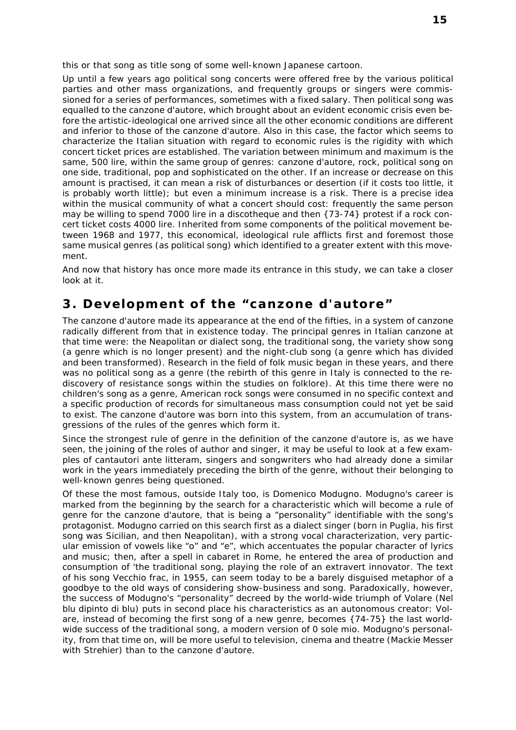this or that song as title song of some well-known Japanese cartoon.

Up until a few years ago political song concerts were offered free by the various political parties and other mass organizations, and frequently groups or singers were commissioned for a series of performances, sometimes with a fixed salary. Then political song was equalled to the *canzone d'autore*, which brought about an evident economic crisis even before the artistic-ideological one arrived since all the other economic conditions are different and inferior to those of the *canzone d'autore*. Also in this case, the factor which seems to characterize the Italian situation with regard to economic rules is the rigidity with which concert ticket prices are established. The variation between minimum and maximum is the same, 500 lire, within the same group of genres: *canzone d'autore*, rock, political song on one side, traditional, pop and sophisticated on the other. If an increase or decrease on this amount is practised, it can mean a risk of disturbances or desertion (if it costs too little, it is probably worth little); but even a minimum increase is a risk. There is a precise idea within the musical community of what a concert should cost: frequently the same person may be willing to spend 7000 lire in a discotheque and then {73-74} protest if a rock concert ticket costs 4000 lire. Inherited from some components of the political movement between 1968 and 1977, this economical, ideological rule afflicts first and foremost those same musical genres (as political song) which identified to a greater extent with this movement.

And now that history has once more made its entrance in this study, we can take a closer look at it.

# **3. Development of the "***canzone d'autore***"**

The *canzone d'autore* made its appearance at the end of the fifties, in a system of *canzone* radically different from that in existence today. The principal genres in Italian *canzone* at that time were: the Neapolitan or dialect song, the traditional song, the variety show song (a genre which is no longer present) and the night-club song (a genre which has divided and been transformed). Research in the field of folk music began in these years, and there was no political song as a genre (the rebirth of this genre in Italy is connected to the rediscovery of resistance songs within the studies on folklore). At this time there were no children's song as a genre, American rock songs were consumed in no specific context and a specific production of records for simultaneous mass consumption could not yet be said to exist. The *canzone d'autore* was born into this system, from an accumulation of transgressions of the rules of the genres which form it.

Since the strongest rule of genre in the definition of the *canzone d'autore* is, as we have seen, the joining of the roles of author and singer, it may be useful to look at a few examples of *cantautori ante litteram*, singers and songwriters who had already done a similar work in the years immediately preceding the birth of the genre, without their belonging to well-known genres being questioned.

Of these the most famous, outside Italy too, is Domenico Modugno. Modugno's career is marked from the beginning by the search for a characteristic which will become a rule of genre for the *canzone d'autore*, that is being a "personality" identifiable with the song's protagonist. Modugno carried on this search first as a dialect singer (born in Puglia, his first song was Sicilian, and then Neapolitan), with a strong vocal characterization, very particular emission of vowels like "o" and "e", which accentuates the popular character of lyrics and music; then, after a spell in cabaret in Rome, he entered the area of production and consumption of 'the traditional song, playing the role of an extravert innovator. The text of his song *Vecchio frac*, in 1955, can seem today to be a barely disguised metaphor of a goodbye to the old ways of considering show-business and song. Paradoxically, however, the success of Modugno's "personality" decreed by the world-wide triumph of *Volare* (*Nel blu dipinto di blu*) puts in second place his characteristics as an autonomous creator: Volare, instead of becoming the first song of a new genre, becomes {74-75} the last worldwide success of the traditional song, a modern version of *0 sole mio*. Modugno's personality, from that time on, will be more useful to television, cinema and theatre (*Mackie Messer* with Strehier) than to the *canzone d'autore*.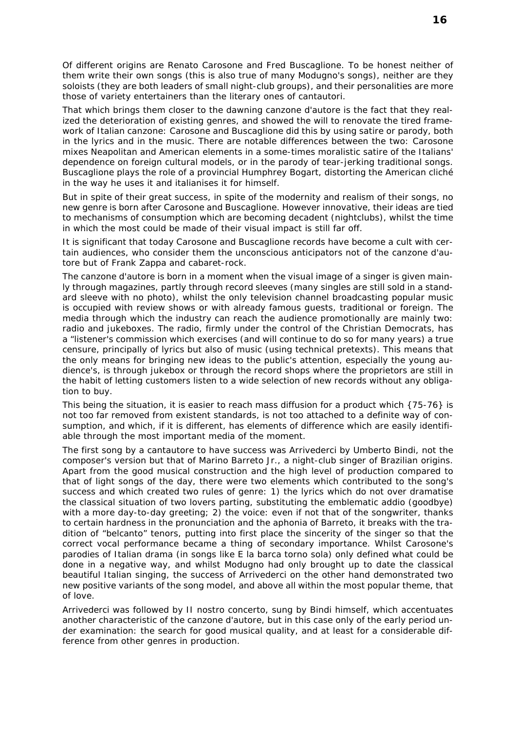Of different origins are Renato Carosone and Fred Buscaglione. To be honest neither of them write their own songs (this is also true of many Modugno's songs), neither are they soloists (they are both leaders of small night-club groups), and their personalities are more those of variety entertainers than the literary ones of *cantautori*.

That which brings them closer to the dawning *canzone d'autore* is the fact that they realized the deterioration of existing genres, and showed the will to renovate the tired framework of Italian *canzone*: Carosone and Buscaglione did this by using satire or parody, both in the lyrics and in the music. There are notable differences between the two: Carosone mixes Neapolitan and American elements in a some-times moralistic satire of the Italians' dependence on foreign cultural models, or in the parody of tear-jerking traditional songs. Buscaglione plays the role of a provincial Humphrey Bogart, distorting the American cliché in the way he uses it and italianises it for himself.

But in spite of their great success, in spite of the modernity and realism of their songs, no new genre is born after Carosone and Buscaglione. However innovative, their ideas are tied to mechanisms of consumption which are becoming decadent (nightclubs), whilst the time in which the most could be made of their visual impact is still far off.

It is significant that today Carosone and Buscaglione records have become a cult with certain audiences, who consider them the unconscious anticipators not of the *canzone d'autore* but of Frank Zappa and cabaret-rock.

The *canzone d'autore* is born in a moment when the visual image of a singer is given mainly through magazines, partly through record sleeves (many singles are still sold in a standard sleeve with no photo), whilst the only television channel broadcasting popular music is occupied with review shows or with already famous guests, traditional or foreign. The media through which the industry can reach the audience promotionally are mainly two: radio and jukeboxes. The radio, firmly under the control of the Christian Democrats, has a "listener's commission which exercises (and will continue to do so for many years) a true censure, principally of lyrics but also of music (using technical pretexts). This means that the only means for bringing new ideas to the public's attention, especially the young audience's, is through jukebox or through the record shops where the proprietors are still in the habit of letting customers listen to a wide selection of new records without any obligation to buy.

This being the situation, it is easier to reach mass diffusion for a product which {75-76} is not too far removed from existent standards, is not too attached to a definite way of consumption, and which, if it is different, has elements of difference which are easily identifiable through the most important media of the moment.

The first song by a *cantautore* to have success was Arrivederci by Umberto Bindi, not the composer's version but that of Marino Barreto Jr., a night-club singer of Brazilian origins. Apart from the good musical construction and the high level of production compared to that of light songs of the day, there were two elements which contributed to the song's success and which created two rules of genre: 1) the lyrics which do not over dramatise the classical situation of two lovers parting, substituting the emblematic *addio* (goodbye) with a more day-to-day greeting; 2) the voice: even if not that of the songwriter, thanks to certain hardness in the pronunciation and the aphonia of Barreto, it breaks with the tradition of "belcanto" tenors, putting into first place the sincerity of the singer so that the correct vocal performance became a thing of secondary importance. Whilst Carosone's parodies of Italian drama (in songs like *E la barca torno sola*) only defined what could be done in a negative way, and whilst Modugno had only brought up to date the classical beautiful Italian singing, the success of Arrivederci on the other hand demonstrated two new positive variants of the song model, and above all within the most popular theme, that of love.

*Arrivederci* was followed by *II nostro concerto*, sung by Bindi himself, which accentuates another characteristic of the *canzone d'autore*, but in this case only of the early period under examination: the search for good musical quality, and at least for a considerable difference from other genres in production.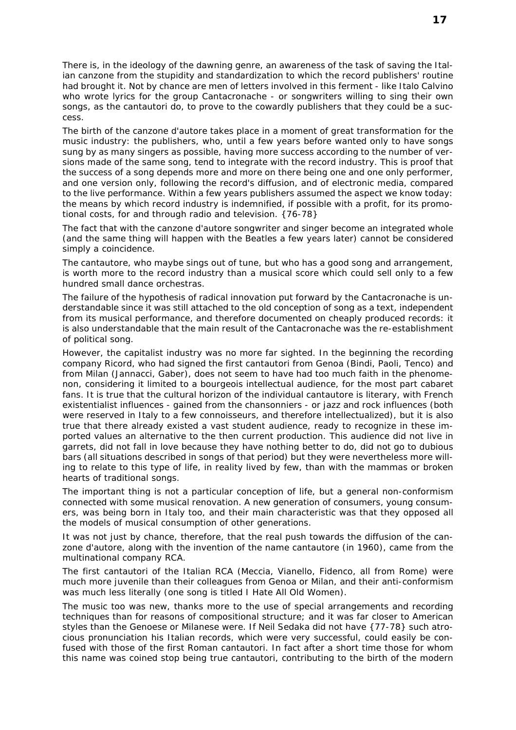There is, in the ideology of the dawning genre, an awareness of the task of saving the Italian *canzone* from the stupidity and standardization to which the record publishers' routine had brought it. Not by chance are men of letters involved in this ferment - like Italo Calvino who wrote lyrics for the group *Cantacronache* - or songwriters willing to sing their own songs, as the *cantautori* do, to prove to the cowardly publishers that they could be a success.

The birth of the *canzone d'autore* takes place in a moment of great transformation for the music industry: the publishers, who, until a few years before wanted only to have songs sung by as many singers as possible, having more success according to the number of versions made of the same song, tend to integrate with the record industry. This is proof that the success of a song depends more and more on there being one and one only performer, and one version only, following the record's diffusion, and of electronic media, compared to the live performance. Within a few years publishers assumed the aspect we know today: the means by which record industry is indemnified, if possible with a profit, for its promotional costs, for and through radio and television. {76-78}

The fact that with the *canzone d'autore* songwriter and singer become an integrated whole (and the same thing will happen with the Beatles a few years later) cannot be considered simply a coincidence.

The *cantautore*, who maybe sings out of tune, but who has a good song and arrangement, is worth more to the record industry than a musical score which could sell only to a few hundred small dance orchestras.

The failure of the hypothesis of radical innovation put forward by the *Cantacronache* is understandable since it was still attached to the old conception of song as a text, independent from its musical performance, and therefore documented on cheaply produced records: it is also understandable that the main result of the *Cantacronache* was the re-establishment of political song.

However, the capitalist industry was no more far sighted. In the beginning the recording company Ricord, who had signed the first *cantautori* from Genoa (Bindi, Paoli, Tenco) and from Milan (Jannacci, Gaber), does not seem to have had too much faith in the phenomenon, considering it limited to a bourgeois intellectual audience, for the most part cabaret fans. It is true that the cultural horizon of the individual *cantautore* is literary, with French existentialist influences - gained from the chansonniers - or jazz and rock influences (both were reserved in Italy to a few connoisseurs, and therefore intellectualized), but it is also true that there already existed a vast student audience, ready to recognize in these imported values an alternative to the then current production. This audience did not live in garrets, did not fall in love because they have nothing better to do, did not go to dubious bars (all situations described in songs of that period) but they were nevertheless more willing to relate to this type of life, in reality lived by few, than with the mammas or broken hearts of traditional songs.

The important thing is not a particular conception of life, but a general non-conformism connected with some musical renovation. A new generation of consumers, young consumers, was being born in Italy too, and their main characteristic was that they opposed all the models of musical consumption of other generations.

It was not just by chance, therefore, that the real push towards the diffusion of the *canzone d'autore*, along with the invention of the name *cantautore* (in 1960), came from the multinational company RCA.

The first *cantautori* of the Italian RCA (Meccia, Vianello, Fidenco, all from Rome) were much more juvenile than their colleagues from Genoa or Milan, and their anti-conformism was much less literally (one song is titled *I Hate All Old Women*).

The music too was new, thanks more to the use of special arrangements and recording techniques than for reasons of compositional structure; and it was far closer to American styles than the Genoese or Milanese were. If Neil Sedaka did not have {77-78} such atrocious pronunciation his Italian records, which were very successful, could easily be confused with those of the first Roman *cantautori*. In fact after a short time those for whom this name was coined stop being true *cantautori*, contributing to the birth of the modern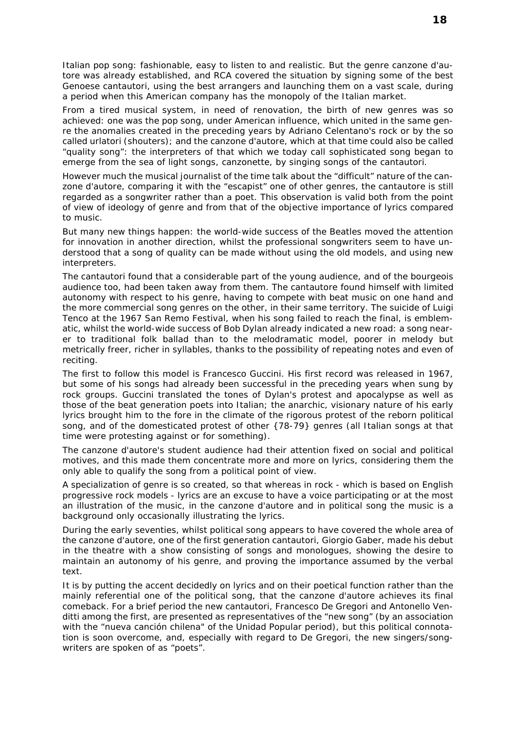Italian pop song: fashionable, easy to listen to and realistic. But the genre *canzone d'autore* was already established, and RCA covered the situation by signing some of the best Genoese *cantautori*, using the best arrangers and launching them on a vast scale, during a period when this American company has the monopoly of the Italian market.

From a tired musical system, in need of renovation, the birth of new genres was so achieved: one was the pop song, under American influence, which united in the same genre the anomalies created in the preceding years by Adriano Celentano's rock or by the so called *urlatori* (shouters); and the *canzone d'autore*, which at that time could also be called "quality song": the interpreters of that which we today call sophisticated song began to emerge from the sea of light songs, *canzonette*, by singing songs of the *cantautori*.

However much the musical journalist of the time talk about the "difficult" nature of the *canzone d'autore*, comparing it with the "escapist" one of other genres, the *cantautore* is still regarded as a songwriter rather than a poet. This observation is valid both from the point of view of ideology of genre and from that of the objective importance of lyrics compared to music.

But many new things happen: the world-wide success of the Beatles moved the attention for innovation in another direction, whilst the professional songwriters seem to have understood that a song of quality can be made without using the old models, and using new interpreters.

The *cantautori* found that a considerable part of the young audience, and of the bourgeois audience too, had been taken away from them. The *cantautore* found himself with limited autonomy with respect to his genre, having to compete with beat music on one hand and the more commercial song genres on the other, in their same territory. The suicide of Luigi Tenco at the 1967 San Remo Festival, when his song failed to reach the final, is emblematic, whilst the world-wide success of Bob Dylan already indicated a new road: a song nearer to traditional folk ballad than to the melodramatic model, poorer in melody but metrically freer, richer in syllables, thanks to the possibility of repeating notes and even of reciting.

The first to follow this model is Francesco Guccini. His first record was released in 1967, but some of his songs had already been successful in the preceding years when sung by rock groups. Guccini translated the tones of Dylan's protest and apocalypse as well as those of the beat generation poets into Italian; the anarchic, visionary nature of his early lyrics brought him to the fore in the climate of the rigorous protest of the reborn political song, and of the domesticated protest of other {78-79} genres (all Italian songs at that time were protesting against or for something).

The *canzone d'autore's* student audience had their attention fixed on social and political motives, and this made them concentrate more and more on lyrics, considering them the only able to qualify the song from a political point of view.

A specialization of genre is so created, so that whereas in rock - which is based on English progressive rock models - lyrics are an excuse to have a voice participating or at the most an illustration of the music, in the *canzone d'autore* and in political song the music is a background only occasionally illustrating the lyrics.

During the early seventies, whilst political song appears to have covered the whole area of the *canzone d'autore*, one of the first generation *cantautori*, Giorgio Gaber, made his debut in the theatre with a show consisting of songs and monologues, showing the desire to maintain an autonomy of his genre, and proving the importance assumed by the verbal text.

It is by putting the accent decidedly on lyrics and on their poetical function rather than the mainly referential one of the political song, that the *canzone d'autore* achieves its final comeback. For a brief period the new *cantautori*, Francesco De Gregori and Antonello Venditti among the first, are presented as representatives of the "new song" (by an association with the "nueva canción chilena" of the Unidad Popular period), but this political connotation is soon overcome, and, especially with regard to De Gregori, the new singers/songwriters are spoken of as "poets".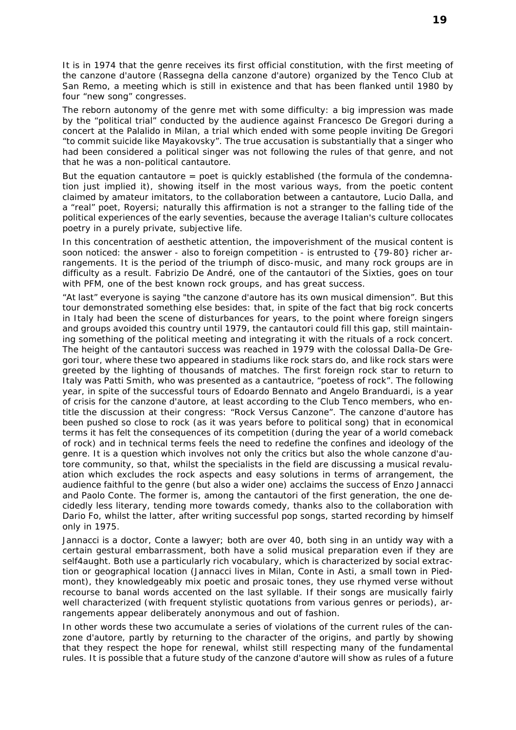It is in 1974 that the genre receives its first official constitution, with the first meeting of the *canzone d'autore* (*Rassegna della canzone d'autore*) organized by the Tenco Club at San Remo, a meeting which is still in existence and that has been flanked until 1980 by four "new song" congresses.

The reborn autonomy of the genre met with some difficulty: a big impression was made by the "political trial" conducted by the audience against Francesco De Gregori during a concert at the Palalido in Milan, a trial which ended with some people inviting De Gregori "to commit suicide like Mayakovsky". The true accusation is substantially that a singer who had been considered a political singer was not following the rules of that genre, and not that he was a non-political *cantautore*.

But the equation *cantautore* = poet is quickly established (the formula of the condemnation just implied it), showing itself in the most various ways, from the poetic content claimed by amateur imitators, to the collaboration between a *cantautore*, Lucio Dalla, and a "real" poet, Royersi; naturally this affirmation is not a stranger to the falling tide of the political experiences of the early seventies, because the average Italian's culture collocates poetry in a purely private, subjective life.

In this concentration of aesthetic attention, the impoverishment of the musical content is soon noticed: the answer - also to foreign competition - is entrusted to {79-80} richer arrangements. It is the period of the triumph of disco-music, and many rock groups are in difficulty as a result. Fabrizio De André, one of the *cantautori* of the Sixties, goes on tour with PFM, one of the best known rock groups, and has great success.

"At last" everyone is saying "the *canzone d'autore* has its own musical dimension". But this tour demonstrated something else besides: that, in spite of the fact that big rock concerts in Italy had been the scene of disturbances for years, to the point where foreign singers and groups avoided this country until 1979, the *cantautori* could fill this gap, still maintaining something of the political meeting and integrating it with the rituals of a rock concert. The height of the *cantautori* success was reached in 1979 with the colossal Dalla-De Gregori tour, where these two appeared in stadiums like rock stars do, and like rock stars were greeted by the lighting of thousands of matches. The first foreign rock star to return to Italy was Patti Smith, who was presented as a *cantautrice*, "poetess of rock". The following year, in spite of the successful tours of Edoardo Bennato and Angelo Branduardi, is a year of crisis for the *canzone d'autore*, at least according to the Club Tenco members, who entitle the discussion at their congress: "Rock Versus *Canzone*". The *canzone d'autore* has been pushed so close to rock (as it was years before to political song) that in economical terms it has felt the consequences of its competition (during the year of a world comeback of rock) and in technical terms feels the need to redefine the confines and ideology of the genre. It is a question which involves not only the critics but also the whole *canzone d'autore* community, so that, whilst the specialists in the field are discussing a musical revaluation which excludes the rock aspects and easy solutions in terms of arrangement, the audience faithful to the genre (but also a wider one) acclaims the success of Enzo Jannacci and Paolo Conte. The former is, among the *cantautori* of the first generation, the one decidedly less literary, tending more towards comedy, thanks also to the collaboration with Dario Fo, whilst the latter, after writing successful pop songs, started recording by himself only in 1975.

Jannacci is a doctor, Conte a lawyer; both are over 40, both sing in an untidy way with a certain gestural embarrassment, both have a solid musical preparation even if they are self4aught. Both use a particularly rich vocabulary, which is characterized by social extraction or geographical location (Jannacci lives in Milan, Conte in Asti, a small town in Piedmont), they knowledgeably mix poetic and prosaic tones, they use rhymed verse without recourse to banal words accented on the last syllable. If their songs are musically fairly well characterized (with frequent stylistic quotations from various genres or periods), arrangements appear deliberately anonymous and out of fashion.

In other words these two accumulate a series of violations of the current rules of the *canzone d'autore*, partly by returning to the character of the origins, and partly by showing that they respect the hope for renewal, whilst still respecting many of the fundamental rules. It is possible that a future study of the *canzone d'autore* will show as rules of a future